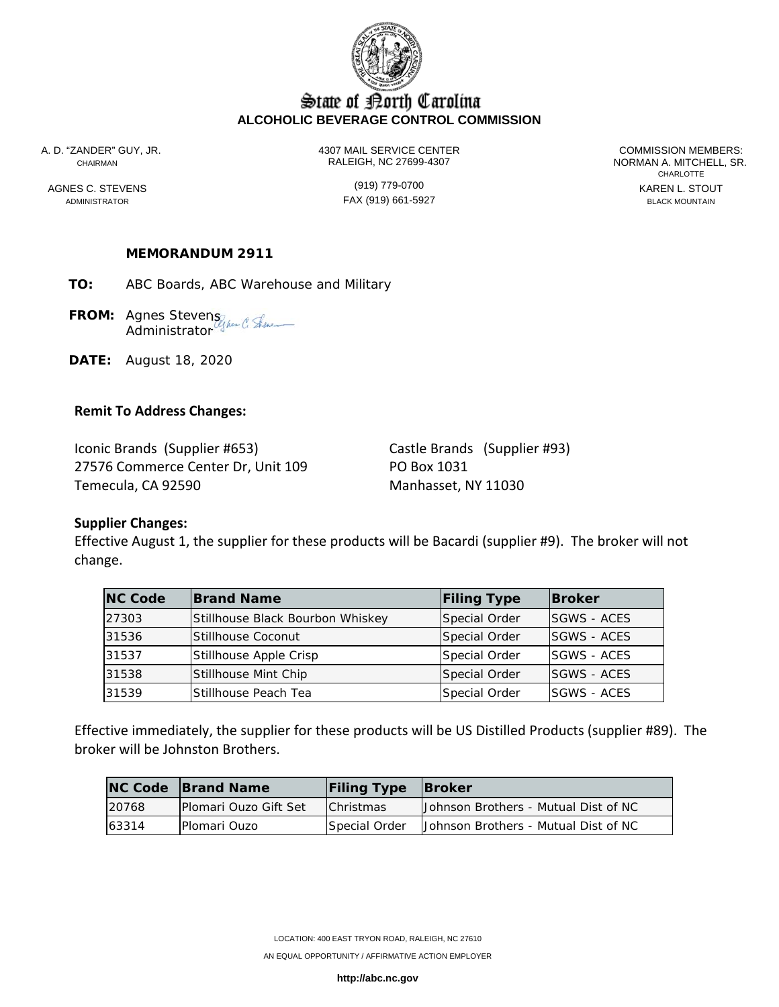

## State of Borth Carolina **ALCOHOLIC BEVERAGE CONTROL COMMISSION**

A. D. "ZANDER" GUY, JR. 4307 MAIL SERVICE CENTER COMMISSION MEMBERS: CHAIRMAN RALEIGH, NC 27699-4307 NORMAN A. MITCHELL, SR.

ADMINISTRATOR FAX (919) 661-5927 BLACK MOUNTAIN

**CHARLOTTE** AGNES C. STEVENS GENERAL STOUT (919) 779-0700

### **MEMORANDUM 2911**

**TO:** ABC Boards, ABC Warehouse and Military

**FROM:** Agnes Stevens **Administrator** 

**DATE:** August 18, 2020

#### **Remit To Address Changes:**

Iconic Brands (Supplier #653) Castle Brands (Supplier #93) 27576 Commerce Center Dr, Unit 109 PO Box 1031 Temecula, CA 92590 Manhasset, NY 11030

### **Supplier Changes:**

Effective August 1, the supplier for these products will be Bacardi (supplier #9). The broker will not change.

| <b>NC Code</b> | <b>Brand Name</b>                | <b>Filing Type</b> | <b>Broker</b>       |
|----------------|----------------------------------|--------------------|---------------------|
| 27303          | Stillhouse Black Bourbon Whiskey | Special Order      | <b>ISGWS - ACES</b> |
| 31536          | <b>Stillhouse Coconut</b>        | Special Order      | <b>ISGWS - ACES</b> |
| 31537          | Stillhouse Apple Crisp           | Special Order      | <b>SGWS - ACES</b>  |
| 31538          | Stillhouse Mint Chip             | Special Order      | <b>SGWS - ACES</b>  |
| 31539          | lStillhouse Peach Tea            | Special Order      | <b>ISGWS - ACES</b> |

Effective immediately, the supplier for these products will be US Distilled Products (supplier #89). The broker will be Johnston Brothers.

|       | <b>NC Code Brand Name</b>     | <b>Filing Type Broker</b> |                                      |
|-------|-------------------------------|---------------------------|--------------------------------------|
| 20768 | <b>IPlomari Ouzo Gift Set</b> | <b>Christmas</b>          | Johnson Brothers - Mutual Dist of NC |
| 63314 | <b>Plomari Ouzo</b>           | <b>Special Order</b>      | Johnson Brothers - Mutual Dist of NC |

**http://abc.nc.gov**